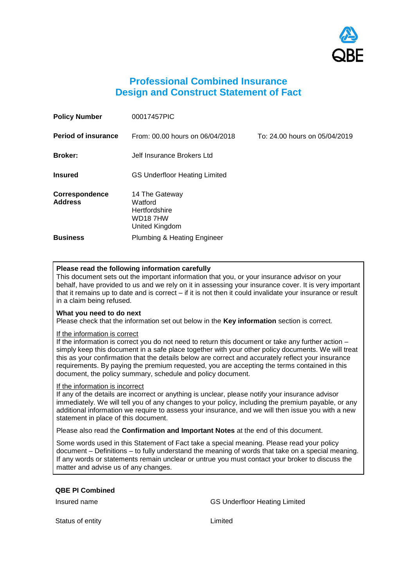

# **Professional Combined Insurance Design and Construct Statement of Fact**

| <b>Policy Number</b>             | 00017457PIC                                                             |                               |
|----------------------------------|-------------------------------------------------------------------------|-------------------------------|
| <b>Period of insurance</b>       | From: 00.00 hours on 06/04/2018                                         | To: 24.00 hours on 05/04/2019 |
| <b>Broker:</b>                   | Jelf Insurance Brokers Ltd                                              |                               |
| <b>Insured</b>                   | <b>GS Underfloor Heating Limited</b>                                    |                               |
| Correspondence<br><b>Address</b> | 14 The Gateway<br>Watford<br>Hertfordshire<br>WD187HW<br>United Kingdom |                               |
| <b>Business</b>                  | <b>Plumbing &amp; Heating Engineer</b>                                  |                               |

# **Please read the following information carefully**

This document sets out the important information that you, or your insurance advisor on your behalf, have provided to us and we rely on it in assessing your insurance cover. It is very important that it remains up to date and is correct – if it is not then it could invalidate your insurance or result in a claim being refused.

# **What you need to do next**

Please check that the information set out below in the **Key information** section is correct.

### If the information is correct

If the information is correct you do not need to return this document or take any further action – simply keep this document in a safe place together with your other policy documents. We will treat this as your confirmation that the details below are correct and accurately reflect your insurance requirements. By paying the premium requested, you are accepting the terms contained in this document, the policy summary, schedule and policy document.

### If the information is incorrect

If any of the details are incorrect or anything is unclear, please notify your insurance advisor immediately. We will tell you of any changes to your policy, including the premium payable, or any additional information we require to assess your insurance, and we will then issue you with a new statement in place of this document.

Please also read the **Confirmation and Important Notes** at the end of this document.

Some words used in this Statement of Fact take a special meaning. Please read your policy document – Definitions – to fully understand the meaning of words that take on a special meaning. If any words or statements remain unclear or untrue you must contact your broker to discuss the matter and advise us of any changes.

### **QBE PI Combined**

Insured name GS Underfloor Heating Limited

Status of entity **Limited Limited**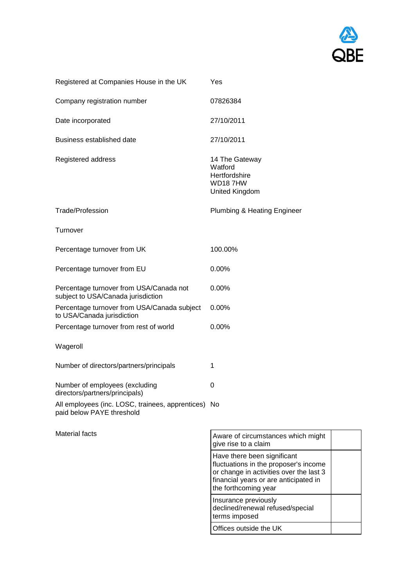

| Registered at Companies House in the UK                                          | Yes                                                                                                                                                                              |
|----------------------------------------------------------------------------------|----------------------------------------------------------------------------------------------------------------------------------------------------------------------------------|
| Company registration number                                                      | 07826384                                                                                                                                                                         |
| Date incorporated                                                                | 27/10/2011                                                                                                                                                                       |
| Business established date                                                        | 27/10/2011                                                                                                                                                                       |
| Registered address                                                               | 14 The Gateway<br>Watford<br>Hertfordshire<br>WD187HW<br>United Kingdom                                                                                                          |
| Trade/Profession                                                                 | <b>Plumbing &amp; Heating Engineer</b>                                                                                                                                           |
| Turnover                                                                         |                                                                                                                                                                                  |
| Percentage turnover from UK                                                      | 100.00%                                                                                                                                                                          |
| Percentage turnover from EU                                                      | 0.00%                                                                                                                                                                            |
| Percentage turnover from USA/Canada not<br>subject to USA/Canada jurisdiction    | 0.00%                                                                                                                                                                            |
| Percentage turnover from USA/Canada subject<br>to USA/Canada jurisdiction        | 0.00%                                                                                                                                                                            |
| Percentage turnover from rest of world                                           | 0.00%                                                                                                                                                                            |
| Wageroll                                                                         |                                                                                                                                                                                  |
| Number of directors/partners/principals                                          | 1                                                                                                                                                                                |
| Number of employees (excluding<br>directors/partners/principals)                 | 0                                                                                                                                                                                |
| All employees (inc. LOSC, trainees, apprentices) No<br>paid below PAYE threshold |                                                                                                                                                                                  |
| <b>Material facts</b>                                                            | Aware of circumstances which might<br>give rise to a claim                                                                                                                       |
|                                                                                  | Have there been significant<br>fluctuations in the proposer's income<br>or change in activities over the last 3<br>financial years or are anticipated in<br>the forthcoming year |
|                                                                                  | Insurance previously<br>declined/renewal refused/special<br>terms imposed                                                                                                        |

Offices outside the UK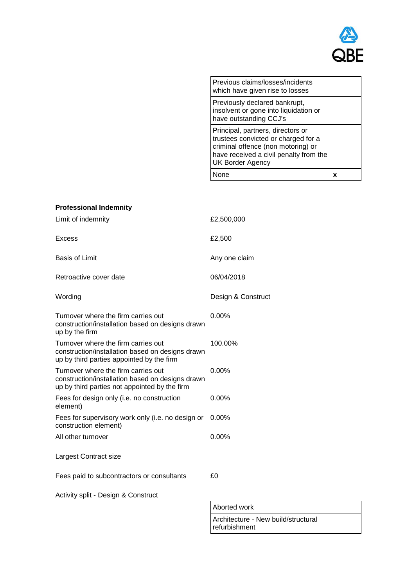

| Previous claims/losses/incidents<br>which have given rise to losses                                                                                                                 |  |
|-------------------------------------------------------------------------------------------------------------------------------------------------------------------------------------|--|
| Previously declared bankrupt,<br>insolvent or gone into liquidation or<br>have outstanding CCJ's                                                                                    |  |
| Principal, partners, directors or<br>trustees convicted or charged for a<br>criminal offence (non motoring) or<br>have received a civil penalty from the<br><b>UK Border Agency</b> |  |
|                                                                                                                                                                                     |  |

| <b>Professional Indemnity</b>                                                                                                            |                    |
|------------------------------------------------------------------------------------------------------------------------------------------|--------------------|
| Limit of indemnity                                                                                                                       | £2,500,000         |
| <b>Excess</b>                                                                                                                            | £2,500             |
| <b>Basis of Limit</b>                                                                                                                    | Any one claim      |
| Retroactive cover date                                                                                                                   | 06/04/2018         |
| Wording                                                                                                                                  | Design & Construct |
| Turnover where the firm carries out<br>construction/installation based on designs drawn<br>up by the firm                                | $0.00\%$           |
| Turnover where the firm carries out<br>construction/installation based on designs drawn<br>up by third parties appointed by the firm     | 100.00%            |
| Turnover where the firm carries out<br>construction/installation based on designs drawn<br>up by third parties not appointed by the firm | $0.00\%$           |
| Fees for design only (i.e. no construction<br>element)                                                                                   | $0.00\%$           |
| Fees for supervisory work only (i.e. no design or<br>construction element)                                                               | $0.00\%$           |
| All other turnover                                                                                                                       | $0.00\%$           |
| Largest Contract size                                                                                                                    |                    |
| Fees paid to subcontractors or consultants                                                                                               | £0                 |
| Activity split - Design & Construct                                                                                                      |                    |

| Aborted work                                         |  |
|------------------------------------------------------|--|
| Architecture - New build/structural<br>refurbishment |  |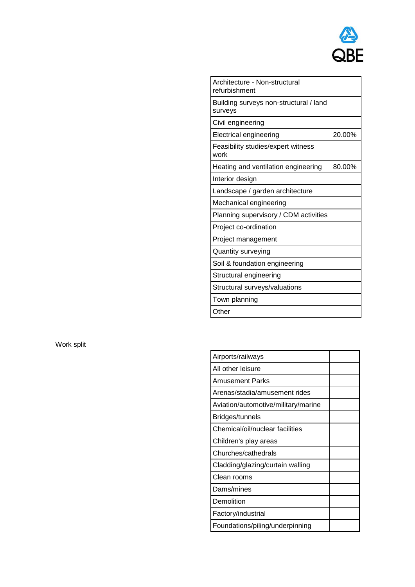

| Architecture - Non-structural<br>refurbishment    |        |
|---------------------------------------------------|--------|
| Building surveys non-structural / land<br>surveys |        |
| Civil engineering                                 |        |
| Electrical engineering                            | 20.00% |
| Feasibility studies/expert witness<br>work        |        |
| Heating and ventilation engineering               | 80.00% |
| Interior design                                   |        |
| Landscape / garden architecture                   |        |
| Mechanical engineering                            |        |
| Planning supervisory / CDM activities             |        |
| Project co-ordination                             |        |
| Project management                                |        |
| Quantity surveying                                |        |
| Soil & foundation engineering                     |        |
| Structural engineering                            |        |
| Structural surveys/valuations                     |        |
| Town planning                                     |        |
| Other                                             |        |

Work split

| Airports/railways                   |  |
|-------------------------------------|--|
| All other leisure                   |  |
| Amusement Parks                     |  |
| Arenas/stadia/amusement rides       |  |
| Aviation/automotive/military/marine |  |
| Bridges/tunnels                     |  |
| Chemical/oil/nuclear facilities     |  |
| Children's play areas               |  |
| Churches/cathedrals                 |  |
| Cladding/glazing/curtain walling    |  |
| Clean rooms                         |  |
| Dams/mines                          |  |
| Demolition                          |  |
| Factory/industrial                  |  |
| Foundations/piling/underpinning     |  |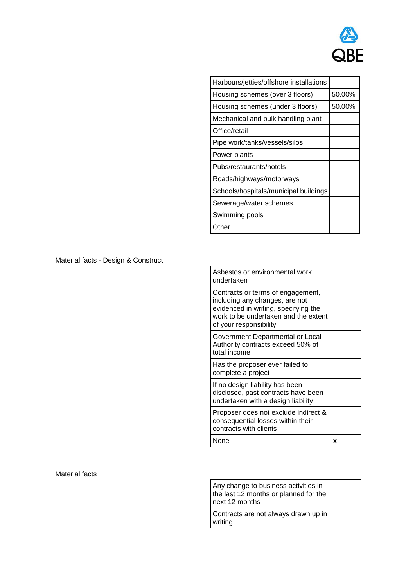

| Harbours/jetties/offshore installations |        |
|-----------------------------------------|--------|
| Housing schemes (over 3 floors)         | 50.00% |
| Housing schemes (under 3 floors)        | 50.00% |
| Mechanical and bulk handling plant      |        |
| Office/retail                           |        |
| Pipe work/tanks/vessels/silos           |        |
| Power plants                            |        |
| Pubs/restaurants/hotels                 |        |
| Roads/highways/motorways                |        |
| Schools/hospitals/municipal buildings   |        |
| Sewerage/water schemes                  |        |
| Swimming pools                          |        |
| Other                                   |        |

Material facts - Design & Construct

| Asbestos or environmental work<br>undertaken                                                                                                                                  |   |
|-------------------------------------------------------------------------------------------------------------------------------------------------------------------------------|---|
| Contracts or terms of engagement,<br>including any changes, are not<br>evidenced in writing, specifying the<br>work to be undertaken and the extent<br>of your responsibility |   |
| Government Departmental or Local<br>Authority contracts exceed 50% of<br>total income                                                                                         |   |
| Has the proposer ever failed to<br>complete a project                                                                                                                         |   |
| If no design liability has been<br>disclosed, past contracts have been<br>undertaken with a design liability                                                                  |   |
| Proposer does not exclude indirect &<br>consequential losses within their<br>contracts with clients                                                                           |   |
| None                                                                                                                                                                          | x |

### Material facts

| Any change to business activities in<br>the last 12 months or planned for the<br>next 12 months |  |
|-------------------------------------------------------------------------------------------------|--|
| Contracts are not always drawn up in<br>writing                                                 |  |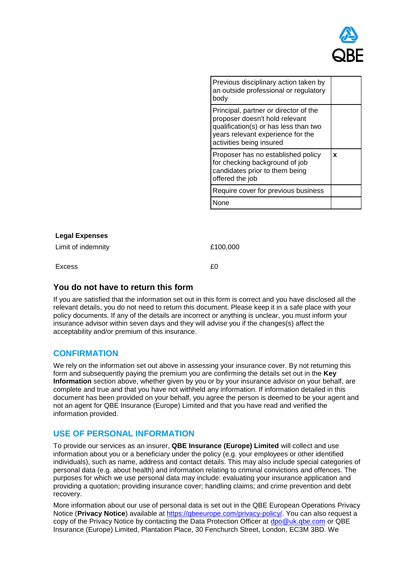

| Previous disciplinary action taken by<br>an outside professional or regulatory<br>body                                                                                            |   |
|-----------------------------------------------------------------------------------------------------------------------------------------------------------------------------------|---|
| Principal, partner or director of the<br>proposer doesn't hold relevant<br>qualification(s) or has less than two<br>years relevant experience for the<br>activities being insured |   |
| Proposer has no established policy<br>for checking background of job<br>candidates prior to them being<br>offered the job                                                         | x |
| Require cover for previous business                                                                                                                                               |   |
| None                                                                                                                                                                              |   |

# **Legal Expenses**

Limit of indemnity  $£100,000$ 

 $Excess$   $f0$ 

# **You do not have to return this form**

If you are satisfied that the information set out in this form is correct and you have disclosed all the relevant details, you do not need to return this document. Please keep it in a safe place with your policy documents. If any of the details are incorrect or anything is unclear, you must inform your insurance advisor within seven days and they will advise you if the changes(s) affect the acceptability and/or premium of this insurance.

# **CONFIRMATION**

We rely on the information set out above in assessing your insurance cover. By not returning this form and subsequently paying the premium you are confirming the details set out in the **Key Information** section above, whether given by you or by your insurance advisor on your behalf, are complete and true and that you have not withheld any information. If information detailed in this document has been provided on your behalf, you agree the person is deemed to be your agent and not an agent for QBE Insurance (Europe) Limited and that you have read and verified the information provided.

# **USE OF PERSONAL INFORMATION**

To provide our services as an insurer, **QBE Insurance (Europe) Limited** will collect and use information about you or a beneficiary under the policy (e.g. your employees or other identified individuals), such as name, address and contact details. This may also include special categories of personal data (e.g. about health) and information relating to criminal convictions and offences. The purposes for which we use personal data may include: evaluating your insurance application and providing a quotation; providing insurance cover; handling claims; and crime prevention and debt recovery.

More information about our use of personal data is set out in the QBE European Operations Privacy Notice (Privacy Notice) available at [https://qbeeurope.com/privacy-policy/.](https://qbeeurope.com/privacy-policy/) You can also request a copy of the Privacy Notice by contacting the Data Protection Officer at [dpo@uk.qbe.com](file:///D:/win32app/Templates/Complex/footer/qbestof-93934821_c1b7b1ca47a64902be1f170a950ff1d6/dpo@uk.qbe.com) or QBE Insurance (Europe) Limited, Plantation Place, 30 Fenchurch Street, London, EC3M 3BD. We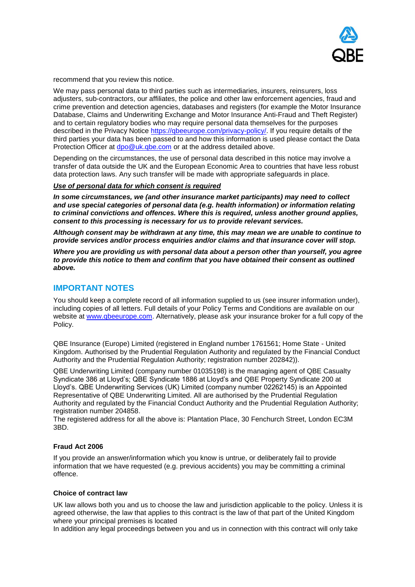

recommend that you review this notice.

We may pass personal data to third parties such as intermediaries, insurers, reinsurers, loss adjusters, sub-contractors, our affiliates, the police and other law enforcement agencies, fraud and crime prevention and detection agencies, databases and registers (for example the Motor Insurance Database, Claims and Underwriting Exchange and Motor Insurance Anti-Fraud and Theft Register) and to certain regulatory bodies who may require personal data themselves for the purposes described in the Privacy Notice [https://qbeeurope.com/privacy-policy/.](https://qbeeurope.com/privacy-policy/) If you require details of the third parties your data has been passed to and how this information is used please contact the Data Protection Officer at dpo@uk.gbe.com or at the address detailed above.

Depending on the circumstances, the use of personal data described in this notice may involve a transfer of data outside the UK and the European Economic Area to countries that have less robust data protection laws. Any such transfer will be made with appropriate safeguards in place.

### *Use of personal data for which consent is required*

*In some circumstances, we (and other insurance market participants) may need to collect and use special categories of personal data (e.g. health information) or information relating to criminal convictions and offences. Where this is required, unless another ground applies, consent to this processing is necessary for us to provide relevant services.*

*Although consent may be withdrawn at any time, this may mean we are unable to continue to provide services and/or process enquiries and/or claims and that insurance cover will stop.*

*Where you are providing us with personal data about a person other than yourself, you agree to provide this notice to them and confirm that you have obtained their consent as outlined above.*

# **IMPORTANT NOTES**

You should keep a complete record of all information supplied to us (see insurer information under), including copies of all letters. Full details of your Policy Terms and Conditions are available on our website at [www.qbeeurope.com.](file:///D:/win32app/Templates/Complex/footer/qbestof-93934821_c1b7b1ca47a64902be1f170a950ff1d6/www.qbeeurope.com) Alternatively, please ask your insurance broker for a full copy of the Policy.

QBE Insurance (Europe) Limited (registered in England number 1761561; Home State - United Kingdom. Authorised by the Prudential Regulation Authority and regulated by the Financial Conduct Authority and the Prudential Regulation Authority; registration number 202842)).

QBE Underwriting Limited (company number 01035198) is the managing agent of QBE Casualty Syndicate 386 at Lloyd's; QBE Syndicate 1886 at Lloyd's and QBE Property Syndicate 200 at Lloyd's. QBE Underwriting Services (UK) Limited (company number 02262145) is an Appointed Representative of QBE Underwriting Limited. All are authorised by the Prudential Regulation Authority and regulated by the Financial Conduct Authority and the Prudential Regulation Authority; registration number 204858.

The registered address for all the above is: Plantation Place, 30 Fenchurch Street, London EC3M 3BD.

### **Fraud Act 2006**

If you provide an answer/information which you know is untrue, or deliberately fail to provide information that we have requested (e.g. previous accidents) you may be committing a criminal offence.

### **Choice of contract law**

UK law allows both you and us to choose the law and jurisdiction applicable to the policy. Unless it is agreed otherwise, the law that applies to this contract is the law of that part of the United Kingdom where your principal premises is located

In addition any legal proceedings between you and us in connection with this contract will only take